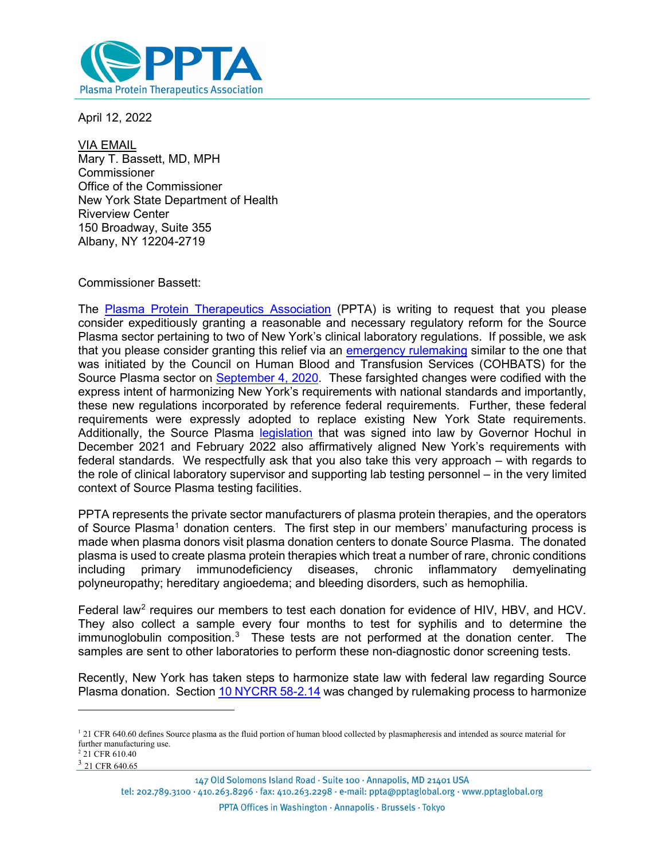

April 12, 2022

VIA EMAIL Mary T. Bassett, MD, MPH Commissioner Office of the Commissioner New York State Department of Health Riverview Center 150 Broadway, Suite 355 Albany, NY 12204-2719

## Commissioner Bassett:

The [Plasma Protein Therapeutics Association](https://www.pptaglobal.org/) (PPTA) is writing to request that you please consider expeditiously granting a reasonable and necessary regulatory reform for the Source Plasma sector pertaining to two of New York's clinical laboratory regulations. If possible, we ask that you please consider granting this relief via an [emergency rulemaking](https://www.wadsworth.org/sites/default/files/WebDoc/Approved%20Minutes%20020521%20COHBATS%20meeting.pdf) similar to the one that was initiated by the Council on Human Blood and Transfusion Services (COHBATS) for the Source Plasma sector on [September 4, 2020.](https://www.wadsworth.org/sites/default/files/WebDoc/Approved%20Minutes%20090420%20COHBATS%20meeting.pdf) These farsighted changes were codified with the express intent of harmonizing New York's requirements with national standards and importantly, these new regulations incorporated by reference federal requirements. Further, these federal requirements were expressly adopted to replace existing New York State requirements. Additionally, the Source Plasma [legislation](https://www.nysenate.gov/legislation/bills/2021/A228) that was signed into law by Governor Hochul in December 2021 and February 2022 also affirmatively aligned New York's requirements with federal standards. We respectfully ask that you also take this very approach – with regards to the role of clinical laboratory supervisor and supporting lab testing personnel – in the very limited context of Source Plasma testing facilities.

PPTA represents the private sector manufacturers of plasma protein therapies, and the operators of Source Plasma<sup>[1](#page-0-0)</sup> donation centers. The first step in our members' manufacturing process is made when plasma donors visit plasma donation centers to donate Source Plasma. The donated plasma is used to create plasma protein therapies which treat a number of rare, chronic conditions<br>including primary immunodeficiency diseases, chronic inflammatory demyelinating including primary immunodeficiency diseases, chronic inflammatory demyelinating polyneuropathy; hereditary angioedema; and bleeding disorders, such as hemophilia.

Federal law<sup>[2](#page-0-1)</sup> requires our members to test each donation for evidence of HIV, HBV, and HCV. They also collect a sample every four months to test for syphilis and to determine the immunoglobulin composition.<sup>[3](#page-0-2)</sup> These tests are not performed at the donation center. The samples are sent to other laboratories to perform these non-diagnostic donor screening tests.

Recently, New York has taken steps to harmonize state law with federal law regarding Source Plasma donation. Section [10 NYCRR 58-2.14](https://regs.health.ny.gov/content/section-58-214-serial-plasmapheresis) was changed by rulemaking process to harmonize

<span id="page-0-2"></span><span id="page-0-1"></span><sup>3</sup> 21 CFR 640.65

<span id="page-0-0"></span> $121$  CFR 640.60 defines Source plasma as the fluid portion of human blood collected by plasmapheresis and intended as source material for further manufacturing use. <sup>2</sup> 21 CFR 610.40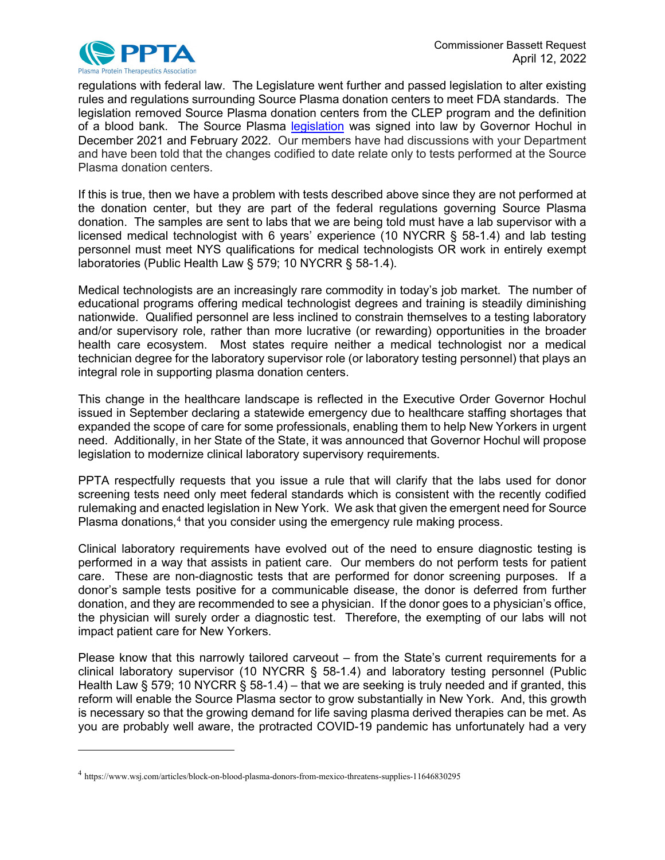

regulations with federal law. The Legislature went further and passed legislation to alter existing rules and regulations surrounding Source Plasma donation centers to meet FDA standards. The legislation removed Source Plasma donation centers from the CLEP program and the definition of a blood bank. The Source Plasma [legislation](https://www.nysenate.gov/legislation/bills/2021/A228) was signed into law by Governor Hochul in December 2021 and February 2022. Our members have had discussions with your Department and have been told that the changes codified to date relate only to tests performed at the Source Plasma donation centers.

If this is true, then we have a problem with tests described above since they are not performed at the donation center, but they are part of the federal regulations governing Source Plasma donation. The samples are sent to labs that we are being told must have a lab supervisor with a licensed medical technologist with 6 years' experience (10 NYCRR § 58-1.4) and lab testing personnel must meet NYS qualifications for medical technologists OR work in entirely exempt laboratories (Public Health Law § 579; 10 NYCRR § 58-1.4).

Medical technologists are an increasingly rare commodity in today's job market. The number of educational programs offering medical technologist degrees and training is steadily diminishing nationwide. Qualified personnel are less inclined to constrain themselves to a testing laboratory and/or supervisory role, rather than more lucrative (or rewarding) opportunities in the broader health care ecosystem. Most states require neither a medical technologist nor a medical technician degree for the laboratory supervisor role (or laboratory testing personnel) that plays an integral role in supporting plasma donation centers.

This change in the healthcare landscape is reflected in the Executive Order Governor Hochul issued in September declaring a statewide emergency due to healthcare staffing shortages that expanded the scope of care for some professionals, enabling them to help New Yorkers in urgent need. Additionally, in her State of the State, it was announced that Governor Hochul will propose legislation to modernize clinical laboratory supervisory requirements.

PPTA respectfully requests that you issue a rule that will clarify that the labs used for donor screening tests need only meet federal standards which is consistent with the recently codified rulemaking and enacted legislation in New York. We ask that given the emergent need for Source Plasma donations,<sup>[4](#page-1-0)</sup> that you consider using the emergency rule making process.

Clinical laboratory requirements have evolved out of the need to ensure diagnostic testing is performed in a way that assists in patient care. Our members do not perform tests for patient care. These are non-diagnostic tests that are performed for donor screening purposes. If a donor's sample tests positive for a communicable disease, the donor is deferred from further donation, and they are recommended to see a physician. If the donor goes to a physician's office, the physician will surely order a diagnostic test. Therefore, the exempting of our labs will not impact patient care for New Yorkers.

Please know that this narrowly tailored carveout – from the State's current requirements for a clinical laboratory supervisor (10 NYCRR § 58-1.4) and laboratory testing personnel (Public Health Law § 579; 10 NYCRR § 58-1.4) – that we are seeking is truly needed and if granted, this reform will enable the Source Plasma sector to grow substantially in New York. And, this growth is necessary so that the growing demand for life saving plasma derived therapies can be met. As you are probably well aware, the protracted COVID-19 pandemic has unfortunately had a very

<span id="page-1-0"></span><sup>4</sup> https://www.wsj.com/articles/block-on-blood-plasma-donors-from-mexico-threatens-supplies-11646830295